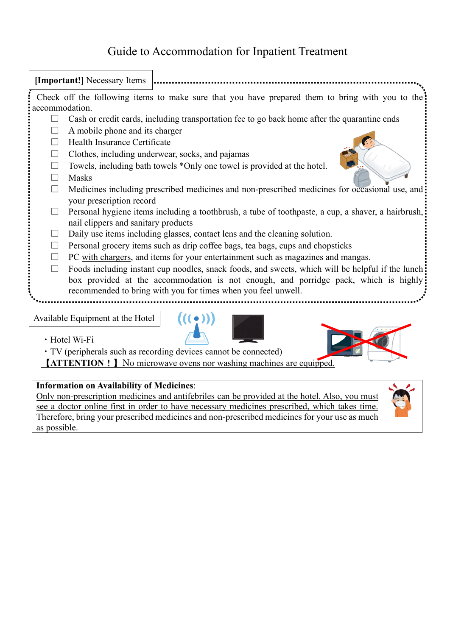## Guide to Accommodation for Inpatient Treatment



・Hotel Wi-Fi

・TV (peripherals such as recording devices cannot be connected)

【**ATTENTION**!】No microwave ovens nor washing machines are equipped.

## **Information on Availability of Medicines**:

Only non-prescription medicines and antifebriles can be provided at the hotel. Also, you must see a doctor online first in order to have necessary medicines prescribed, which takes time. Therefore, bring your prescribed medicines and non-prescribed medicines for your use as much as possible.